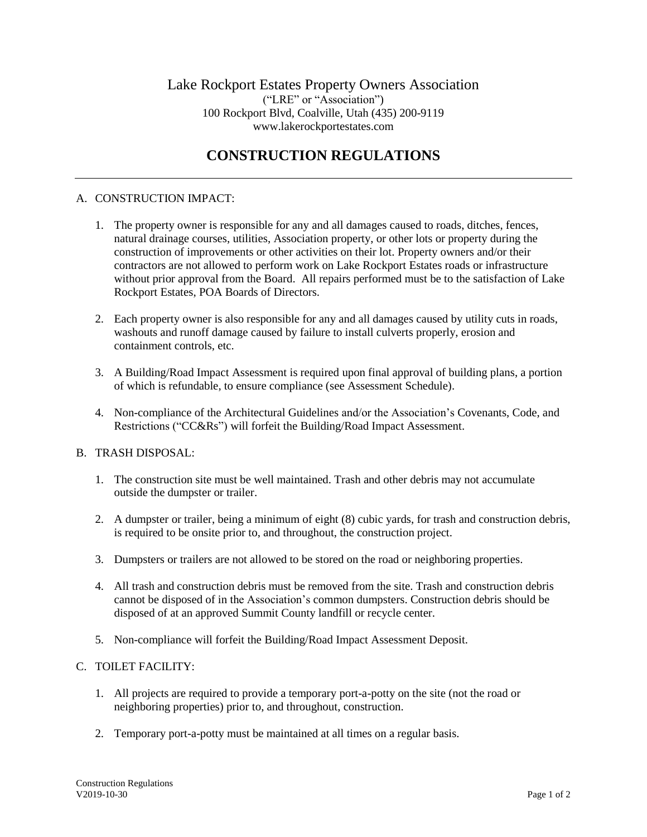# **CONSTRUCTION REGULATIONS**

### A. CONSTRUCTION IMPACT:

- 1. The property owner is responsible for any and all damages caused to roads, ditches, fences, natural drainage courses, utilities, Association property, or other lots or property during the construction of improvements or other activities on their lot. Property owners and/or their contractors are not allowed to perform work on Lake Rockport Estates roads or infrastructure without prior approval from the Board. All repairs performed must be to the satisfaction of Lake Rockport Estates, POA Boards of Directors.
- 2. Each property owner is also responsible for any and all damages caused by utility cuts in roads, washouts and runoff damage caused by failure to install culverts properly, erosion and containment controls, etc.
- 3. A Building/Road Impact Assessment is required upon final approval of building plans, a portion of which is refundable, to ensure compliance (see Assessment Schedule).
- 4. Non-compliance of the Architectural Guidelines and/or the Association's Covenants, Code, and Restrictions ("CC&Rs") will forfeit the Building/Road Impact Assessment.

#### B. TRASH DISPOSAL:

- 1. The construction site must be well maintained. Trash and other debris may not accumulate outside the dumpster or trailer.
- 2. A dumpster or trailer, being a minimum of eight (8) cubic yards, for trash and construction debris, is required to be onsite prior to, and throughout, the construction project.
- 3. Dumpsters or trailers are not allowed to be stored on the road or neighboring properties.
- 4. All trash and construction debris must be removed from the site. Trash and construction debris cannot be disposed of in the Association's common dumpsters. Construction debris should be disposed of at an approved Summit County landfill or recycle center.
- 5. Non-compliance will forfeit the Building/Road Impact Assessment Deposit.

#### C. TOILET FACILITY:

- 1. All projects are required to provide a temporary port-a-potty on the site (not the road or neighboring properties) prior to, and throughout, construction.
- 2. Temporary port-a-potty must be maintained at all times on a regular basis.